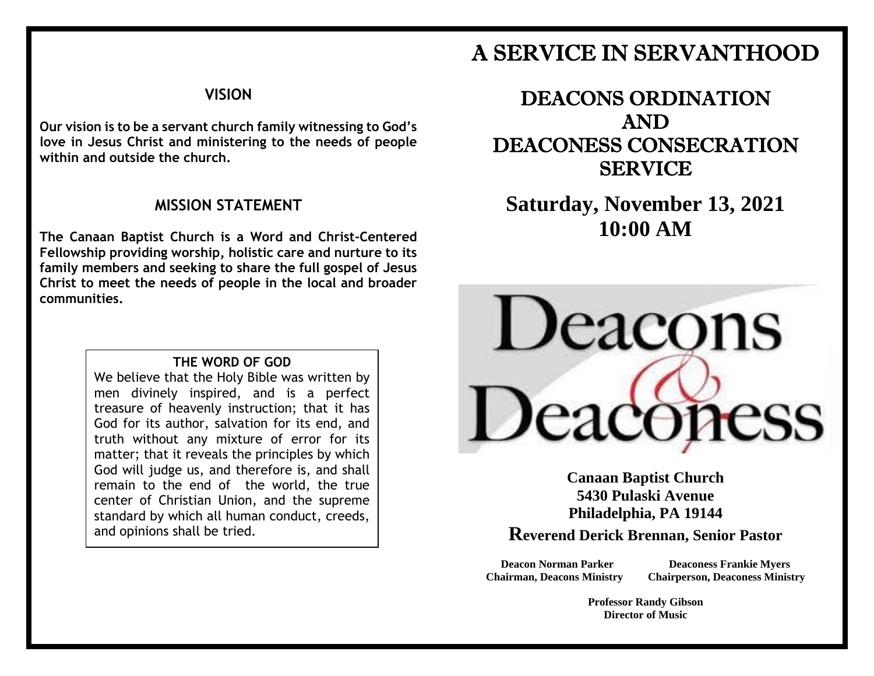# A SERVICE IN SERVANTHOOD

### **VISION**

**Our vision is to be a servant church family witnessing to God's love in Jesus Christ and ministering to the needs of people within and outside the church.**

### **MISSION STATEMENT**

**The Canaan Baptist Church is a Word and Christ-Centered Fellowship providing worship, holistic care and nurture to its family members and seeking to share the full gospel of Jesus Christ to meet the needs of people in the local and broader communities.**

#### **THE WORD OF GOD**

We believe that the Holy Bible was written by men divinely inspired, and is a perfect treasure of heavenly instruction; that it has God for its author, salvation for its end, and truth without any mixture of error for its matter; that it reveals the principles by which God will judge us, and therefore is, and shall remain to the end of the world, the true center of Christian Union, and the supreme standard by which all human conduct, creeds, and opinions shall be tried.

DEACONS ORDINATION AND DEACONESS CONSECRATION **SERVICE** 

**Saturday, November 13, 2021 10:00 AM**



**Canaan Baptist Church 5430 Pulaski Avenue Philadelphia, PA 19144 Reverend Derick Brennan, Senior Pastor**

**Deacon Norman Parker Deaconess Frankie Myers Chairman, Deacons Ministry Chairperson, Deaconess Ministry**

> **Professor Randy Gibson Director of Music**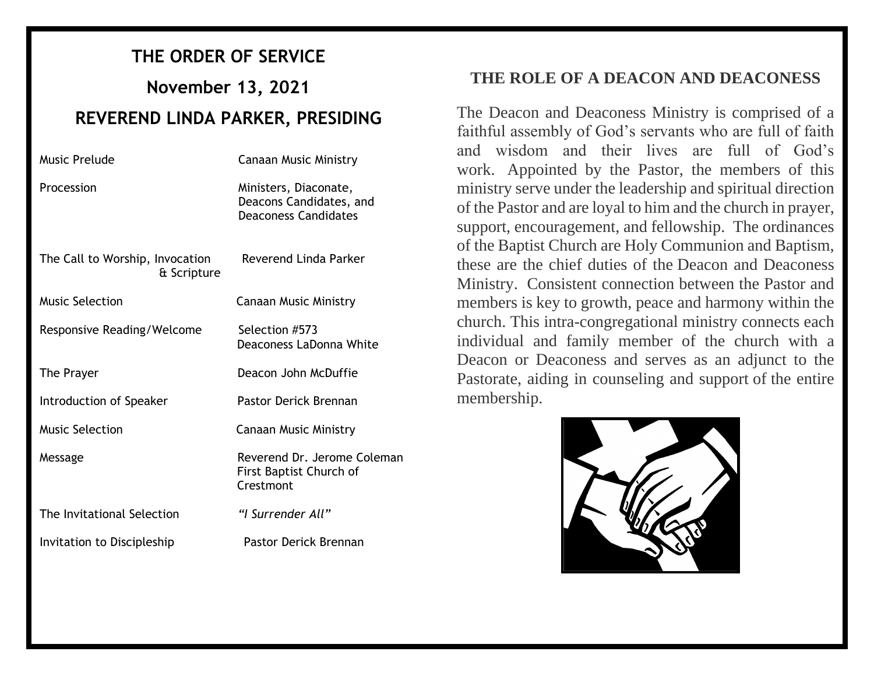## **THE ORDER OF SERVICE**

**November 13, 2021**

## **REVEREND LINDA PARKER, PRESIDING**

| Music Prelude                                  | <b>Canaan Music Ministry</b>                                                    |
|------------------------------------------------|---------------------------------------------------------------------------------|
| Procession                                     | Ministers, Diaconate,<br>Deacons Candidates, and<br><b>Deaconess Candidates</b> |
| The Call to Worship, Invocation<br>& Scripture | Reverend Linda Parker                                                           |
| <b>Music Selection</b>                         | <b>Canaan Music Ministry</b>                                                    |
| Responsive Reading/Welcome                     | Selection #573<br>Deaconess LaDonna White                                       |
| The Prayer                                     | Deacon John McDuffie                                                            |
| Introduction of Speaker                        | Pastor Derick Brennan                                                           |
| <b>Music Selection</b>                         | <b>Canaan Music Ministry</b>                                                    |
| Message                                        | Reverend Dr. Jerome Coleman<br>First Baptist Church of<br>Crestmont             |
| The Invitational Selection                     | "I Surrender All"                                                               |
| Invitation to Discipleship                     | Pastor Derick Brennan                                                           |

### **THE ROLE OF A DEACON AND DEACONESS**

The Deacon and Deaconess Ministry is comprised of a faithful assembly of God's servants who are full of faith and wisdom and their lives are full of God's work. Appointed by the Pastor, the members of this ministry serve under the leadership and spiritual direction of the Pastor and are loyal to him and the church in prayer, support, encouragement, and fellowship. The ordinances of the Baptist Church are Holy Communion and Baptism, these are the chief duties of the Deacon and Deaconess Ministry. Consistent connection between the Pastor and members is key to growth, peace and harmony within the church. This intra-congregational ministry connects each individual and family member of the church with a Deacon or Deaconess and serves as an adjunct to the Pastorate, aiding in counseling and support of the entire membership.

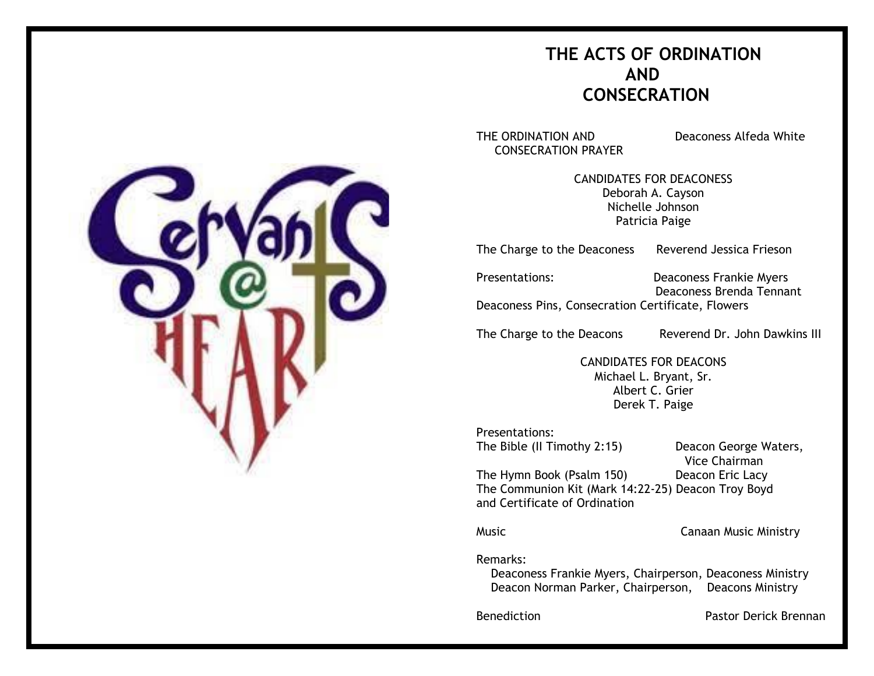## **THE ACTS OF ORDINATION AND CONSECRATION**

THE ORDINATION AND Deaconess Alfeda White CONSECRATION PRAYER

CANDIDATES FOR DEACONESS Deborah A. Cayson Nichelle Johnson Patricia Paige

The Charge to the Deaconess Reverend Jessica Frieson

Presentations: Deaconess Frankie Myers

 Deaconess Brenda Tennant Deaconess Pins, Consecration Certificate, Flowers

The Charge to the Deacons Reverend Dr. John Dawkins III

CANDIDATES FOR DEACONS Michael L. Bryant, Sr. Albert C. Grier Derek T. Paige

Presentations: The Bible (II Timothy 2:15) Deacon George Waters,

Vice Chairman

The Hymn Book (Psalm 150) Deacon Eric Lacy The Communion Kit (Mark 14:22-25) Deacon Troy Boyd and Certificate of Ordination

Music Canaan Music Ministry

Remarks:

 Deaconess Frankie Myers, Chairperson, Deaconess Ministry Deacon Norman Parker, Chairperson, Deacons Ministry

Benediction **Pastor Derick Brennan** 

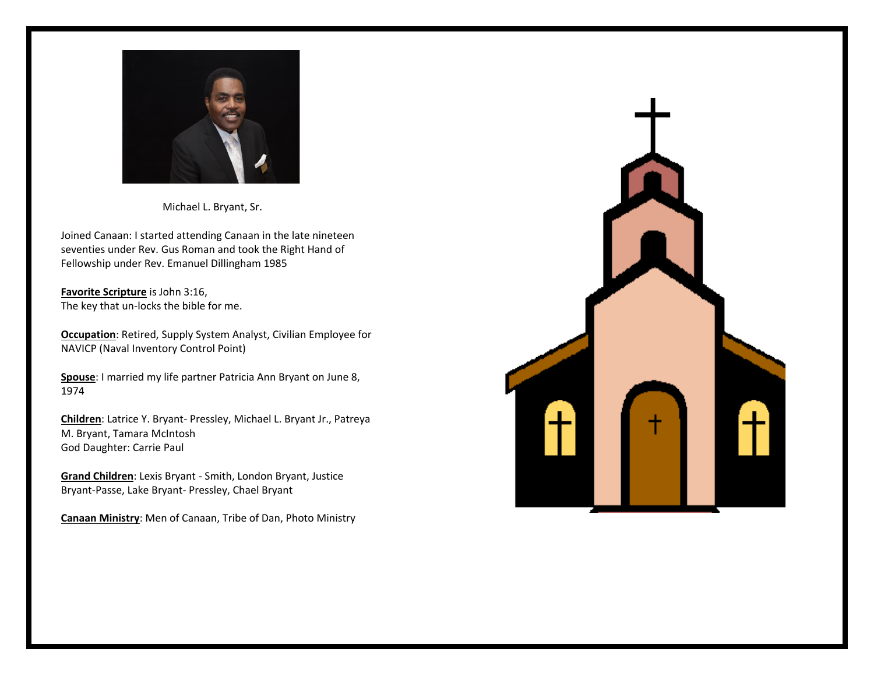

Michael L. Bryant, Sr.

Joined Canaan: I started attending Canaan in the late nineteen seventies under Rev. Gus Roman and took the Right Hand of Fellowship under Rev. Emanuel Dillingham 1985

**Favorite Scripture** is John 3:16, The key that un-locks the bible for me.

**Occupation**: Retired, Supply System Analyst, Civilian Employee for NAVICP (Naval Inventory Control Point)

**Spouse**: I married my life partner Patricia Ann Bryant on June 8, 1974

**Children**: Latrice Y. Bryant- Pressley, Michael L. Bryant Jr., Patreya M. Bryant, Tamara McIntosh God Daughter: Carrie Paul

**Grand Children**: Lexis Bryant - Smith, London Bryant, Justice Bryant-Passe, Lake Bryant- Pressley, Chael Bryant

**Canaan Ministry**: Men of Canaan, Tribe of Dan, Photo Ministry

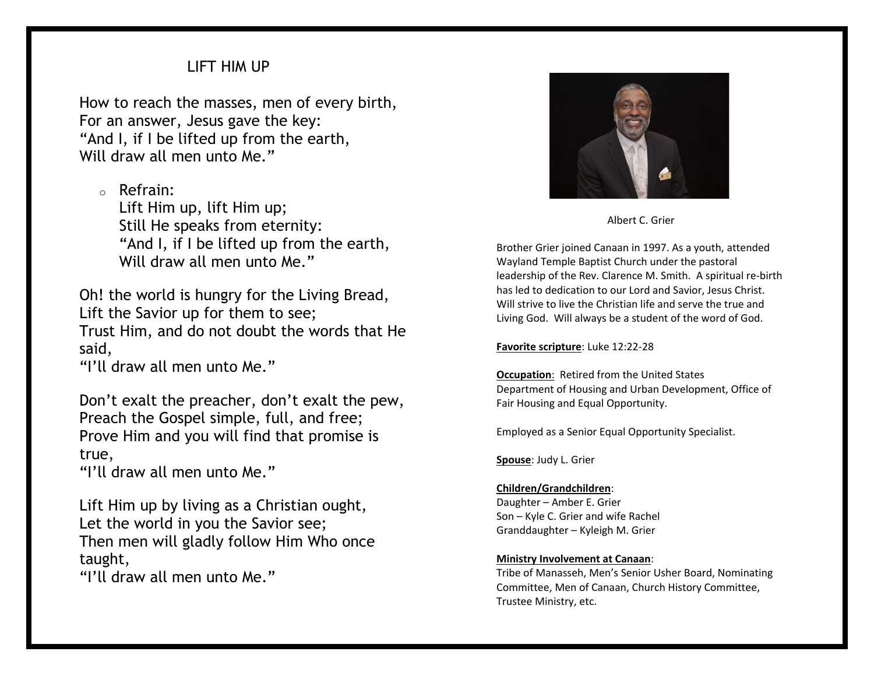### LIFT HIM UP

How to reach the masses, men of every birth, For an answer, Jesus gave the key: "And I, if I be lifted up from the earth, Will draw all men unto Me."

o Refrain:

Lift Him up, lift Him up; Still He speaks from eternity: "And I, if I be lifted up from the earth, Will draw all men unto Me."

Oh! the world is hungry for the Living Bread, Lift the Savior up for them to see; Trust Him, and do not doubt the words that He said,

"I'll draw all men unto Me."

Don't exalt the preacher, don't exalt the pew, Preach the Gospel simple, full, and free; Prove Him and you will find that promise is true,

"I'll draw all men unto Me."

Lift Him up by living as a Christian ought, Let the world in you the Savior see; Then men will gladly follow Him Who once taught,

"I'll draw all men unto Me."



Albert C. Grier

Brother Grier joined Canaan in 1997. As a youth, attended Wayland Temple Baptist Church under the pastoral leadership of the Rev. Clarence M. Smith. A spiritual re-birth has led to dedication to our Lord and Savior, Jesus Christ. Will strive to live the Christian life and serve the true and Living God. Will always be a student of the word of God.

#### **Favorite scripture**: Luke 12:22-28

**Occupation**: Retired from the United States Department of Housing and Urban Development, Office of Fair Housing and Equal Opportunity.

Employed as a Senior Equal Opportunity Specialist.

**Spouse**: Judy L. Grier

#### **Children/Grandchildren**:

Daughter – Amber E. Grier Son – Kyle C. Grier and wife Rachel Granddaughter – Kyleigh M. Grier

#### **Ministry Involvement at Canaan**:

Tribe of Manasseh, Men's Senior Usher Board, Nominating Committee, Men of Canaan, Church History Committee, Trustee Ministry, etc.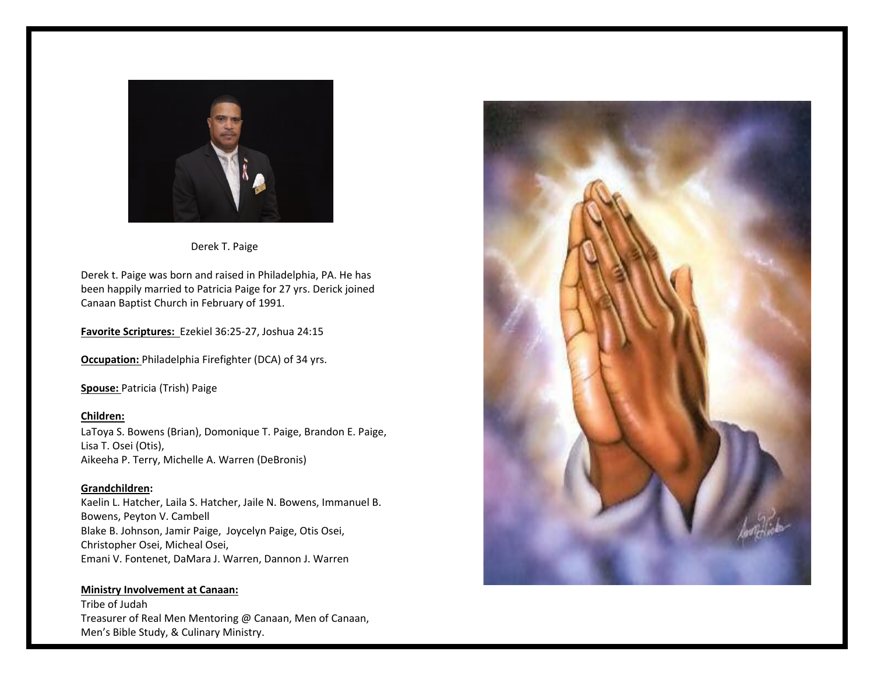

Derek T. Paige

Derek t. Paige was born and raised in Philadelphia, PA. He has been happily married to Patricia Paige for 27 yrs. Derick joined Canaan Baptist Church in February of 1991.

**Favorite Scriptures:** Ezekiel 36:25-27, Joshua 24:15

**Occupation:** Philadelphia Firefighter (DCA) of 34 yrs.

**Spouse:** Patricia (Trish) Paige

**Children:** LaToya S. Bowens (Brian), Domonique T. Paige, Brandon E. Paige, Lisa T. Osei (Otis), Aikeeha P. Terry, Michelle A. Warren (DeBronis)

**Grandchildren:** Kaelin L. Hatcher, Laila S. Hatcher, Jaile N. Bowens, Immanuel B. Bowens, Peyton V. Cambell Blake B. Johnson, Jamir Paige, Joycelyn Paige, Otis Osei, Christopher Osei, Micheal Osei, Emani V. Fontenet, DaMara J. Warren, Dannon J. Warren

**Ministry Involvement at Canaan:** Tribe of Judah Treasurer of Real Men Mentoring @ Canaan, Men of Canaan, Men's Bible Study, & Culinary Ministry.

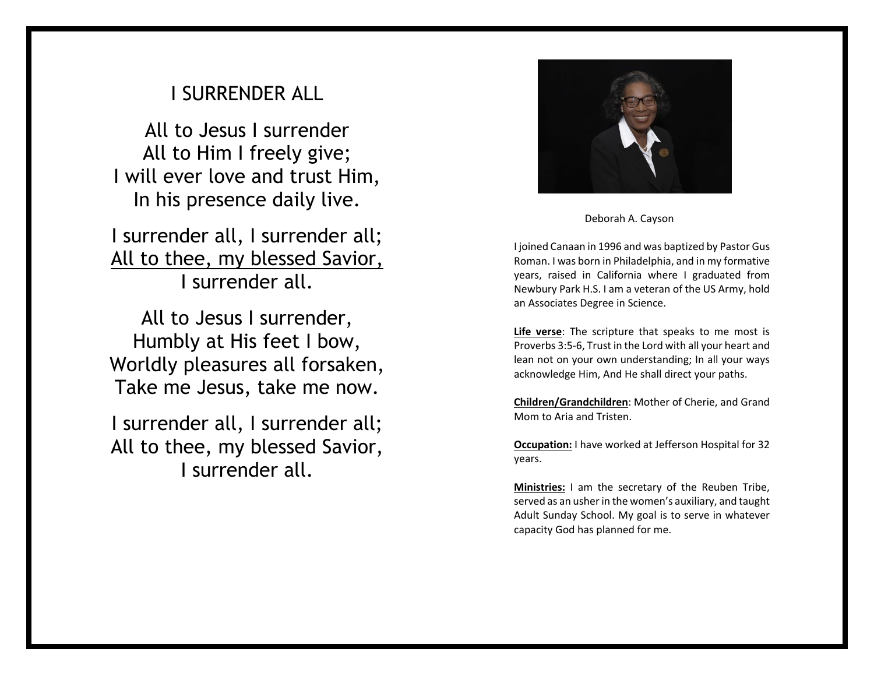# I SURRENDER ALL

All to Jesus I surrender All to Him I freely give; I will ever love and trust Him, In his presence daily live.

I surrender all, I surrender all; All to thee, my blessed Savior, I surrender all.

All to Jesus I surrender, Humbly at His feet I bow, Worldly pleasures all forsaken, Take me Jesus, take me now.

I surrender all, I surrender all; All to thee, my blessed Savior, I surrender all.



Deborah A. Cayson

I joined Canaan in 1996 and was baptized by Pastor Gus Roman. I was born in Philadelphia, and in my formative years, raised in California where I graduated from Newbury Park H.S. I am a veteran of the US Army, hold an Associates Degree in Science.

**Life verse**: The scripture that speaks to me most is Proverbs 3:5-6, Trust in the Lord with all your heart and lean not on your own understanding; In all your ways acknowledge Him, And He shall direct your paths.

**Children/Grandchildren**: Mother of Cherie, and Grand Mom to Aria and Tristen.

**Occupation:** I have worked at Jefferson Hospital for 32 years.

**Ministries:** I am the secretary of the Reuben Tribe, served as an usher in the women's auxiliary, and taught Adult Sunday School. My goal is to serve in whatever capacity God has planned for me.